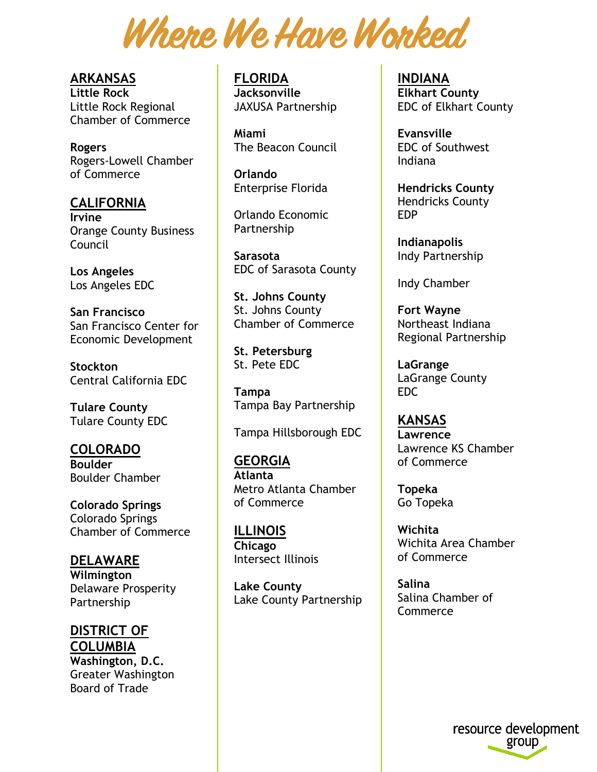Where We Have Worked

**ARKANSAS Little Rock** Little Rock Regional Chamber of Commerce

**Rogers**  Rogers-Lowell Chamber of Commerce

**CALIFORNIA Irvine** Orange County Business Council

**Los Angeles**  Los Angeles EDC

**San Francisco** San Francisco Center for Economic Development

**Stockton** Central California EDC

**Tulare County** Tulare County EDC

**COLORADO Boulder** Boulder Chamber

**Colorado Springs**  Colorado Springs Chamber of Commerce

**DELAWARE Wilmington**  Delaware Prosperity Partnership

**DISTRICT OF COLUMBIA Washington, D.C.**  Greater Washington Board of Trade

**FLORIDA Jacksonville** JAXUSA Partnership

**Miami** The Beacon Council

**Orlando** Enterprise Florida

Orlando Economic Partnership

**Sarasota** EDC of Sarasota County

**St. Johns County** St. Johns County Chamber of Commerce

**St. Petersburg** St. Pete EDC

**Tampa** Tampa Bay Partnership

Tampa Hillsborough EDC

**GEORGIA Atlanta** Metro Atlanta Chamber of Commerce

**ILLINOIS Chicago**  Intersect Illinois

**Lake County** Lake County Partnership **INDIANA Elkhart County** EDC of Elkhart County

**Evansville** EDC of Southwest Indiana

**Hendricks County** Hendricks County EDP

**Indianapolis** Indy Partnership

Indy Chamber

**Fort Wayne** Northeast Indiana Regional Partnership

**LaGrange**  LaGrange County EDC

**KANSAS Lawrence** Lawrence KS Chamber of Commerce

**Topeka** Go Topeka

**Wichita** Wichita Area Chamber of Commerce

**Salina**  Salina Chamber of **Commerce** 

> resource development group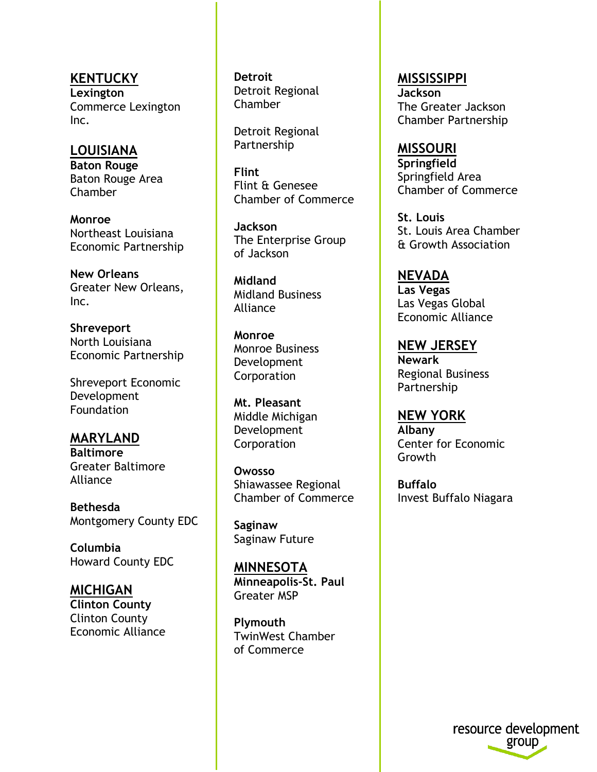**KENTUCKY Lexington**  Commerce Lexington Inc.

**LOUISIANA Baton Rouge**  Baton Rouge Area Chamber

**Monroe** Northeast Louisiana Economic Partnership

**New Orleans** Greater New Orleans, Inc.

**Shreveport** North Louisiana Economic Partnership

Shreveport Economic Development Foundation

**MARYLAND Baltimore** Greater Baltimore Alliance

**Bethesda** Montgomery County EDC

**Columbia** Howard County EDC

**MICHIGAN Clinton County** Clinton County Economic Alliance **Detroit** Detroit Regional Chamber

Detroit Regional Partnership

**Flint** Flint & Genesee Chamber of Commerce

**Jackson** The Enterprise Group of Jackson

**Midland** Midland Business Alliance

**Monroe** Monroe Business Development **Corporation** 

**Mt. Pleasant** Middle Michigan Development **Corporation** 

**Owosso** Shiawassee Regional Chamber of Commerce

**Saginaw**  Saginaw Future

**MINNESOTA Minneapolis-St. Paul** Greater MSP

**Plymouth** TwinWest Chamber of Commerce

**MISSISSIPPI Jackson** The Greater Jackson Chamber Partnership

**MISSOURI Springfield**  Springfield Area Chamber of Commerce

**St. Louis** St. Louis Area Chamber & Growth Association

**NEVADA Las Vegas**  Las Vegas Global Economic Alliance

**NEW JERSEY Newark** Regional Business Partnership

**NEW YORK Albany** Center for Economic Growth

**Buffalo** Invest Buffalo Niagara

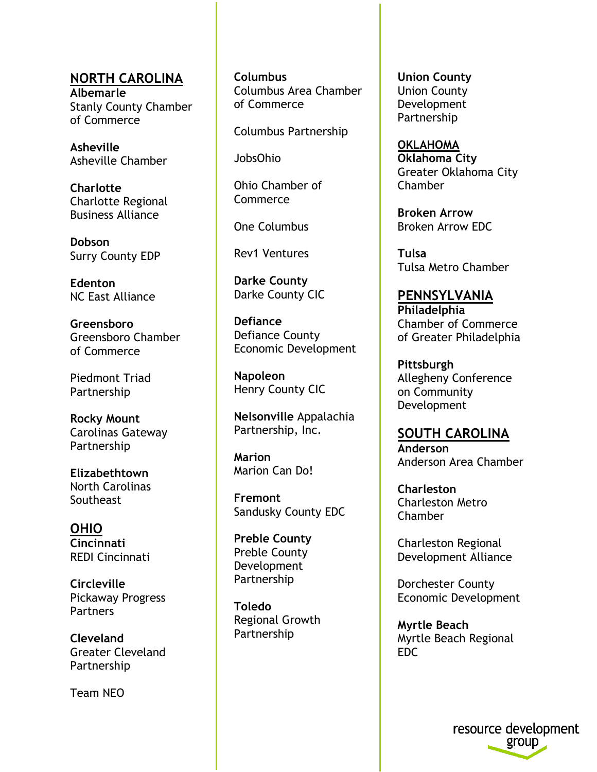**NORTH CAROLINA Albemarle** Stanly County Chamber of Commerce

**Asheville** Asheville Chamber

**Charlotte** Charlotte Regional Business Alliance

**Dobson** Surry County EDP

**Edenton** NC East Alliance

**Greensboro** Greensboro Chamber of Commerce

Piedmont Triad Partnership

**Rocky Mount** Carolinas Gateway Partnership

**Elizabethtown** North Carolinas **Southeast** 

**OHIO Cincinnati** REDI Cincinnati

**Circleville** Pickaway Progress **Partners** 

**Cleveland** Greater Cleveland Partnership

Team NEO

**Columbus** Columbus Area Chamber of Commerce

Columbus Partnership

JobsOhio

Ohio Chamber of Commerce

One Columbus

Rev1 Ventures

**Darke County** Darke County CIC

**Defiance**  Defiance County Economic Development

**Napoleon**  Henry County CIC

**Nelsonville** Appalachia Partnership, Inc.

**Marion**  Marion Can Do!

**Fremont**  Sandusky County EDC

**Preble County**  Preble County Development Partnership

**Toledo**  Regional Growth Partnership

**Union County** Union County Development Partnership

**OKLAHOMA Oklahoma City** Greater Oklahoma City Chamber

**Broken Arrow** Broken Arrow EDC

**Tulsa** Tulsa Metro Chamber

**PENNSYLVANIA Philadelphia** Chamber of Commerce of Greater Philadelphia

**Pittsburgh**  Allegheny Conference on Community Development

**SOUTH CAROLINA Anderson** Anderson Area Chamber

**Charleston** Charleston Metro Chamber

Charleston Regional Development Alliance

Dorchester County Economic Development

**Myrtle Beach** Myrtle Beach Regional EDC

> resource development group